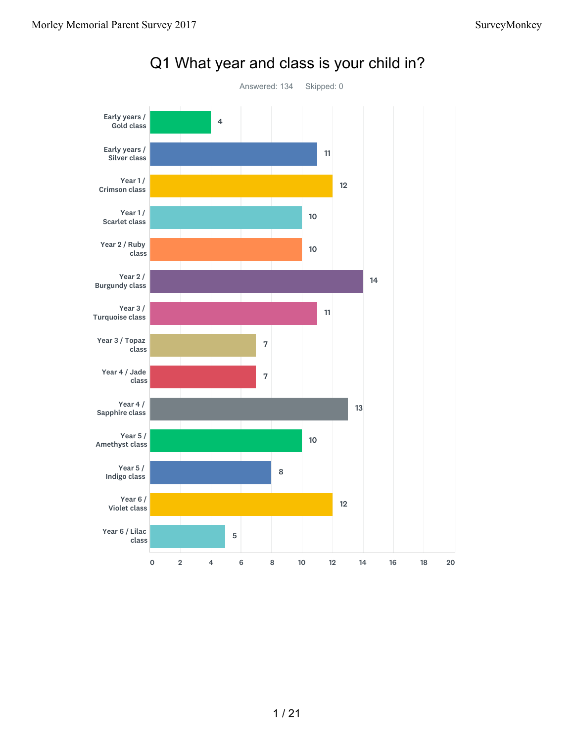

#### Q1 What year and class is your child in?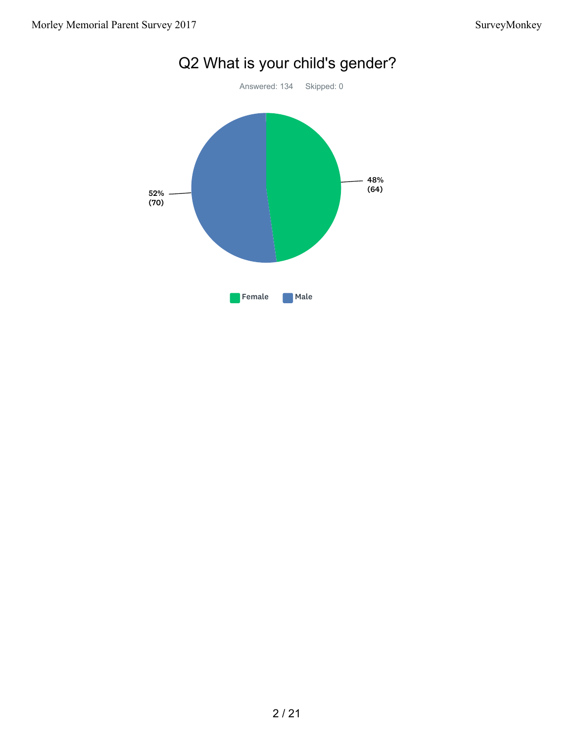

# Q2 What is your child's gender?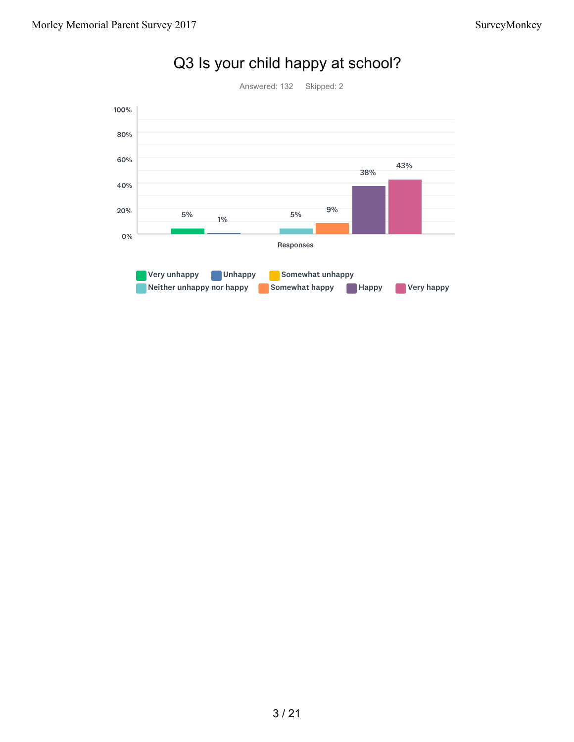

## Q3 Is your child happy at school?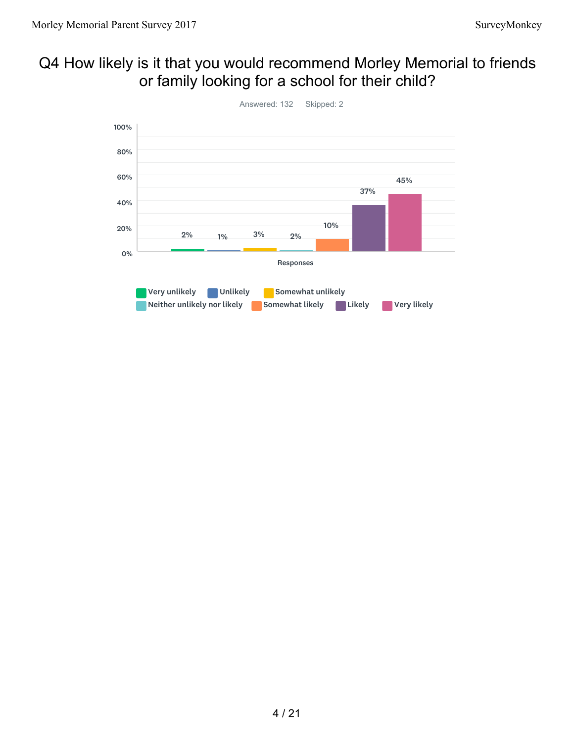#### Q4 How likely is it that you would recommend Morley Memorial to friends or family looking for a school for their child?

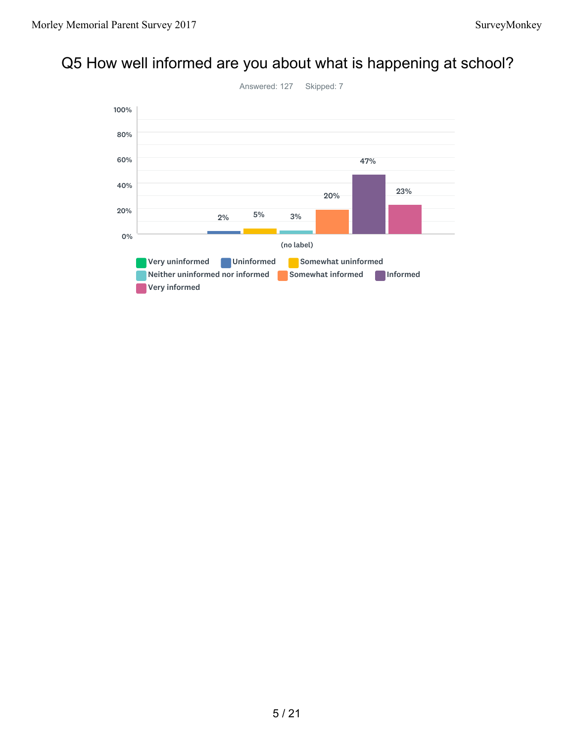## Q5 How well informed are you about what is happening at school?

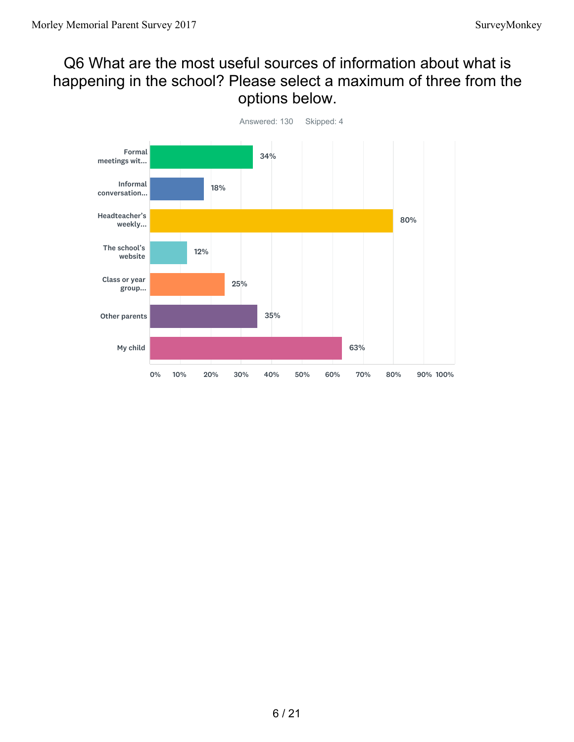### Q6 What are the most useful sources of information about what is happening in the school? Please select a maximum of three from the options below.

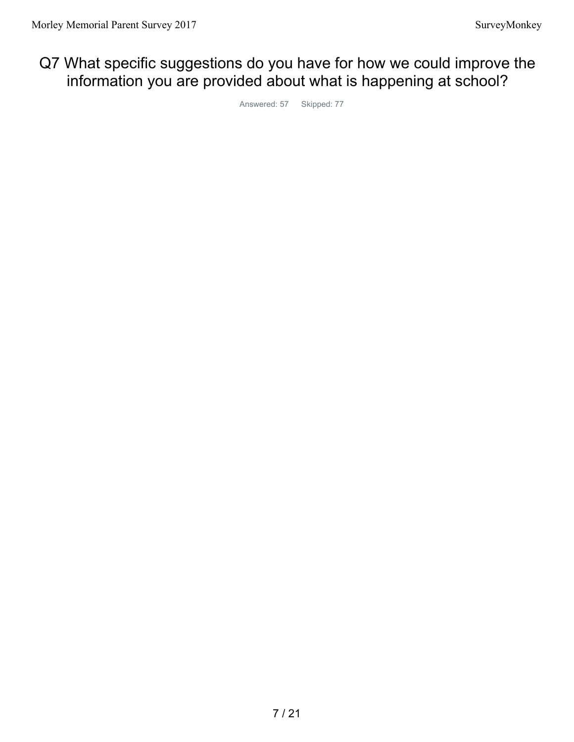## Q7 What specific suggestions do you have for how we could improve the information you are provided about what is happening at school?

Answered: 57 Skipped: 77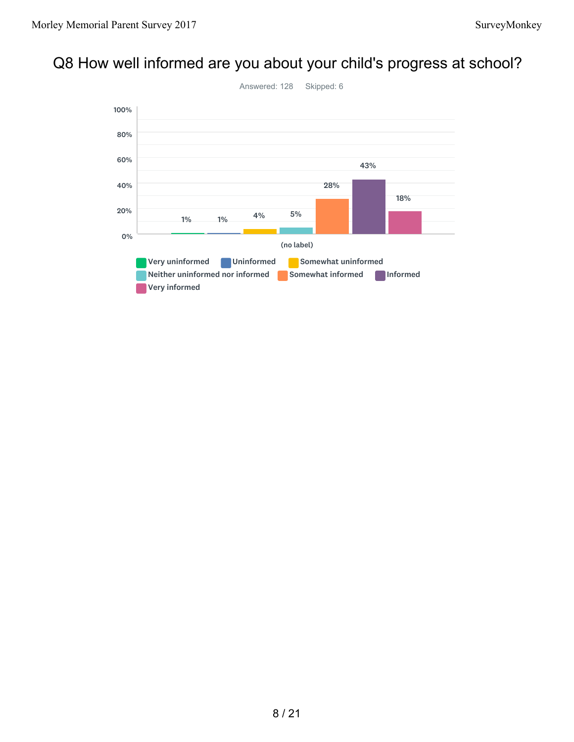## Q8 How well informed are you about your child's progress at school?

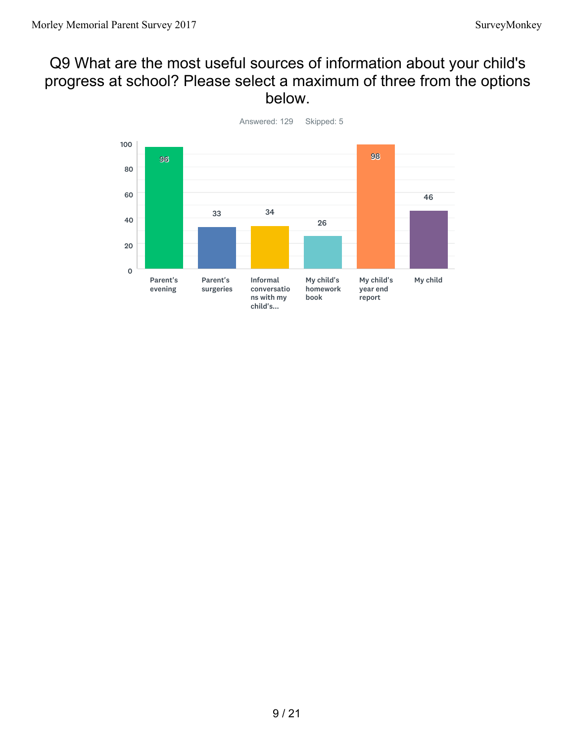#### Q9 What are the most useful sources of information about your child's progress at school? Please select a maximum of three from the options below.



Answered: 129 Skipped: 5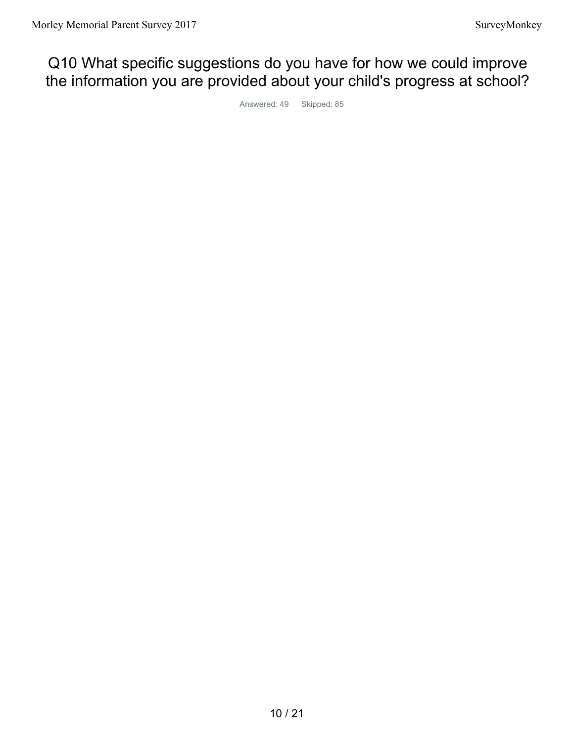## Q10 What specific suggestions do you have for how we could improve the information you are provided about your child's progress at school?

Answered: 49 Skipped: 85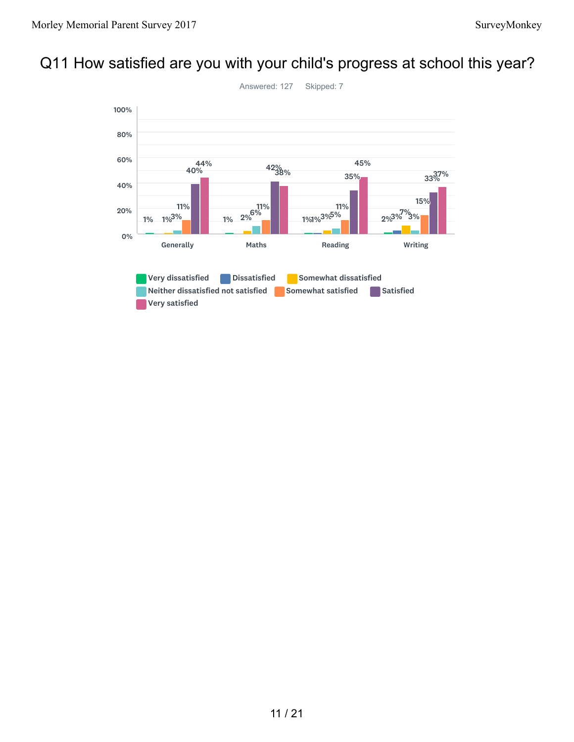## Q11 How satisfied are you with your child's progress at school this year?

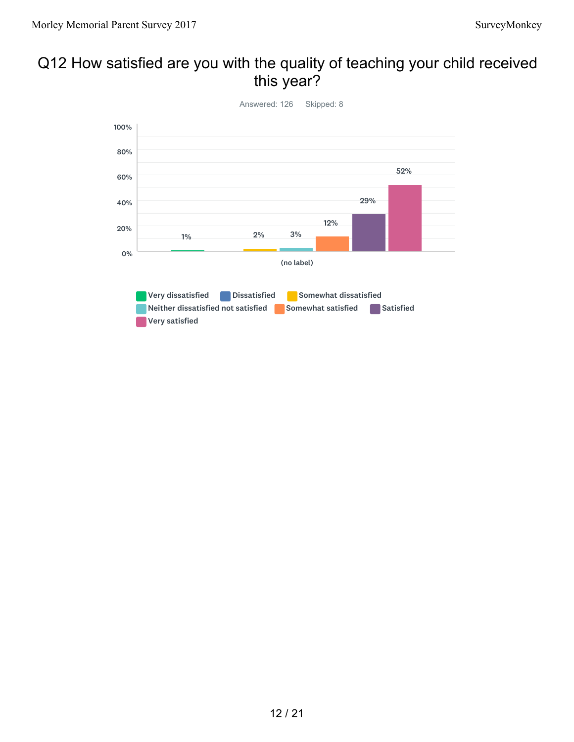#### Q12 How satisfied are you with the quality of teaching your child received this year?

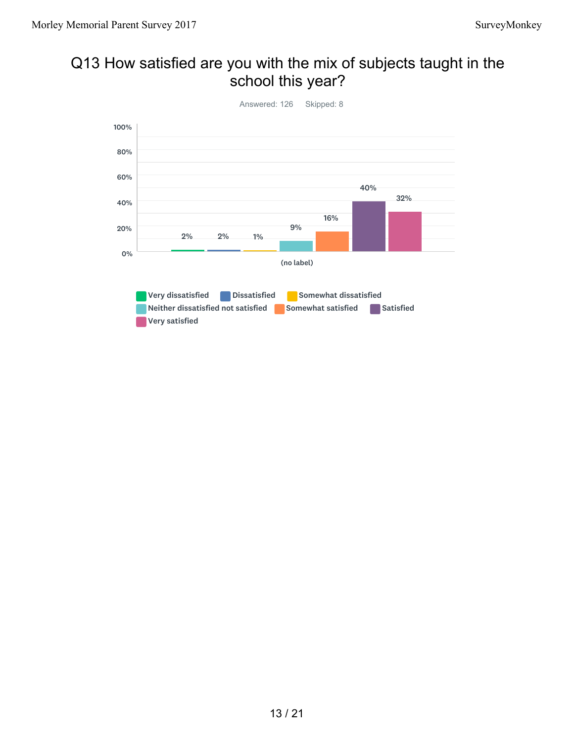## Q13 How satisfied are you with the mix of subjects taught in the school this year?

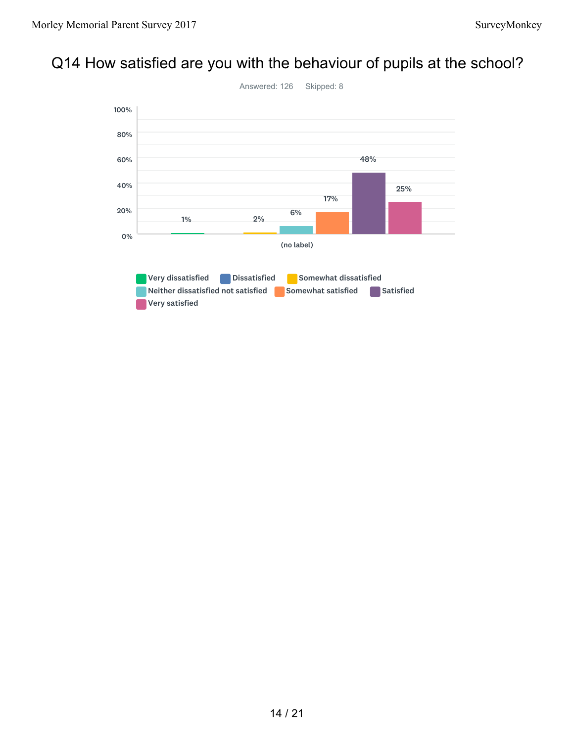# Q14 How satisfied are you with the behaviour of pupils at the school?

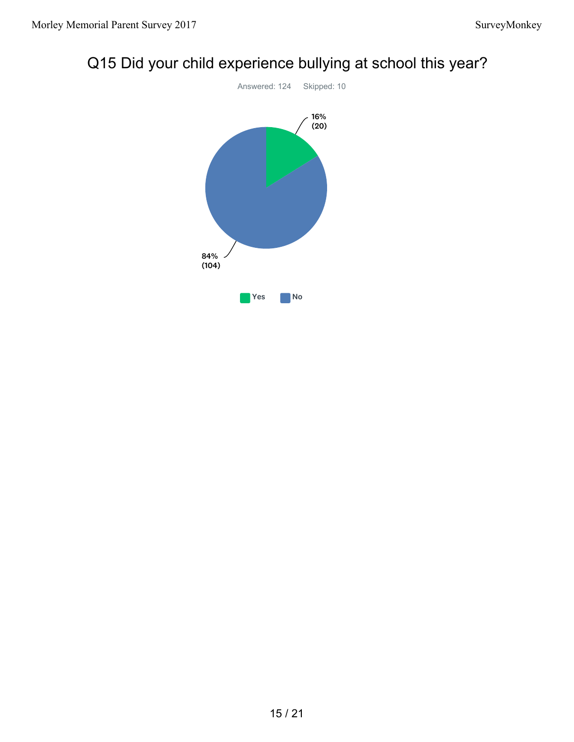

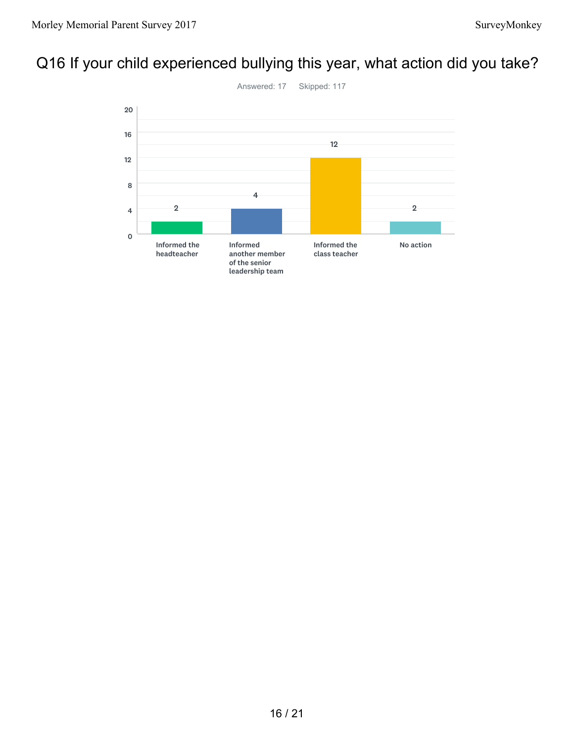## Q16 If your child experienced bullying this year, what action did you take?

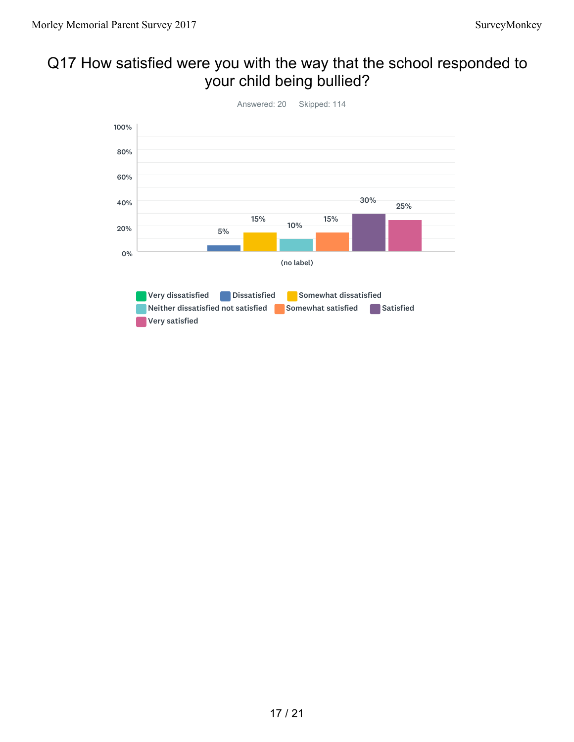## Q17 How satisfied were you with the way that the school responded to your child being bullied?

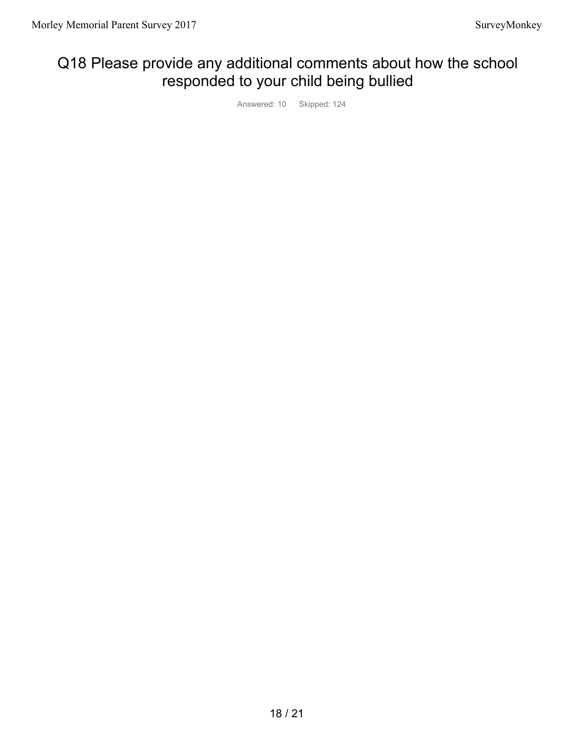### Q18 Please provide any additional comments about how the school responded to your child being bullied

Answered: 10 Skipped: 124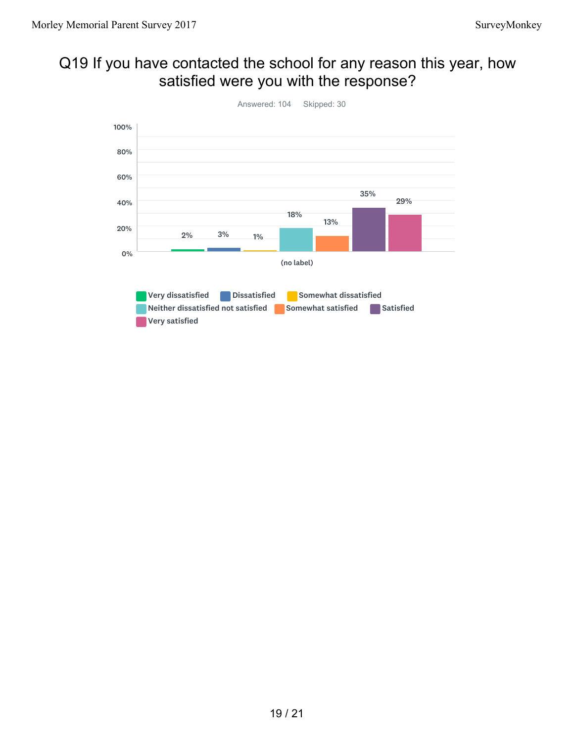### Q19 If you have contacted the school for any reason this year, how satisfied were you with the response?

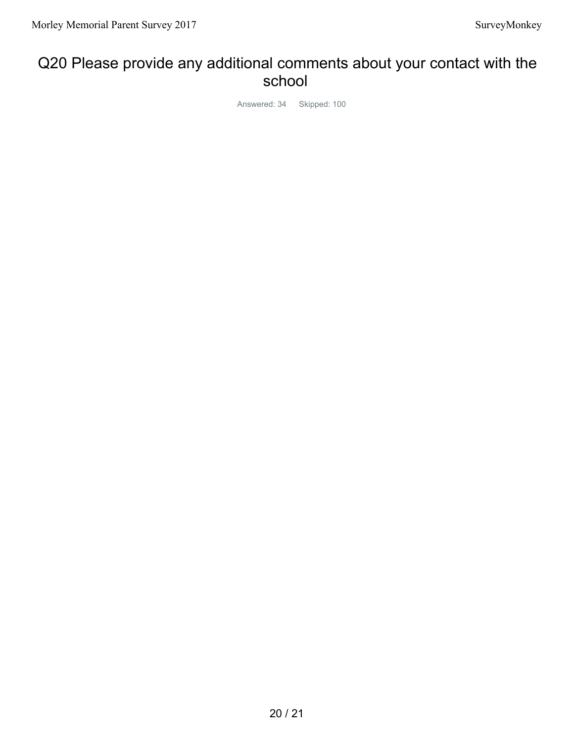#### Q20 Please provide any additional comments about your contact with the school

Answered: 34 Skipped: 100